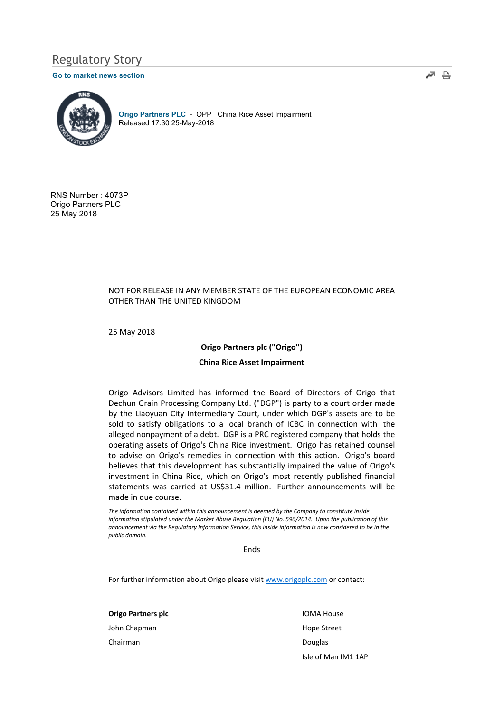# Regulatory Story

#### Go to market news section



Origo Partners PLC - OPP China Rice Asset Impairment Released 17:30 25-May-2018

RNS Number : 4073P Origo Partners PLC 25 May 2018

## NOT FOR RELEASE IN ANY MEMBER STATE OF THE EUROPEAN ECONOMIC AREA OTHER THAN THE UNITED KINGDOM

25 May 2018

### Origo Partners plc ("Origo")

#### China Rice Asset Impairment

Origo Advisors Limited has informed the Board of Directors of Origo that Dechun Grain Processing Company Ltd. ("DGP") is party to a court order made by the Liaoyuan City Intermediary Court, under which DGP's assets are to be sold to satisfy obligations to a local branch of ICBC in connection with the alleged nonpayment of a debt. DGP is a PRC registered company that holds the operating assets of Origo's China Rice investment. Origo has retained counsel to advise on Origo's remedies in connection with this action. Origo's board believes that this development has substantially impaired the value of Origo's investment in China Rice, which on Origo's most recently published financial statements was carried at US\$31.4 million. Further announcements will be made in due course.

The information contained within this announcement is deemed by the Company to constitute inside information stipulated under the Market Abuse Regulation (EU) No. 596/2014. Upon the publication of this announcement via the Regulatory Information Service, this inside information is now considered to be in the public domain.

Ends

For further information about Origo please visit www.origoplc.com or contact:

Origo Partners plc John Chapman Chairman

IOMA House Hope Street Douglas Isle of Man IM1 1AP ื้⊿ ≞